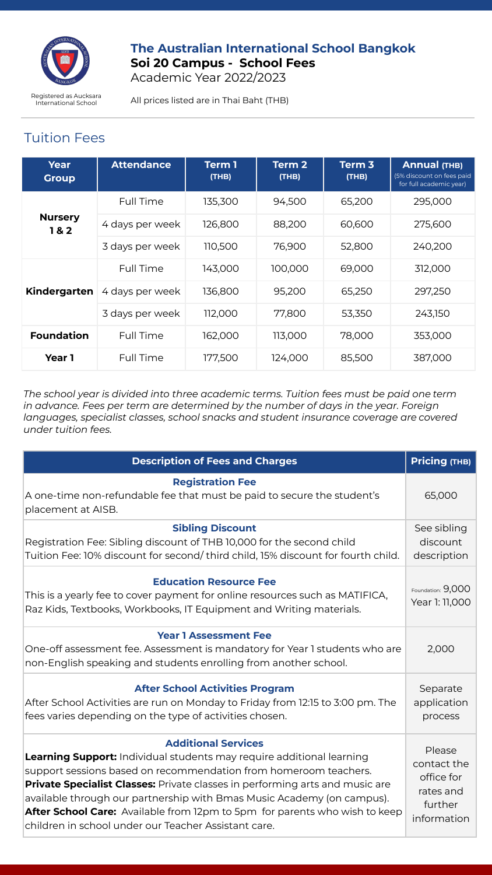

## **The Australian International School Bangkok Soi 20 Campus - School Fees**  Academic Year 2022/2023

Registered as Aucksara<br>International School **All prices listed are in Thai Baht (THB)** 

# Tuition Fees

| Year<br><b>Group</b>  | <b>Attendance</b> | Term 1<br>(THB) | Term <sub>2</sub><br>(THB) | Term <sub>3</sub><br>(THB) | <b>Annual (THB)</b><br>(5% discount on fees paid<br>for full academic year) |
|-----------------------|-------------------|-----------------|----------------------------|----------------------------|-----------------------------------------------------------------------------|
|                       | Full Time         | 135.300         | 94.500                     | 65.200                     | 295.000                                                                     |
| <b>Nursery</b><br>1&2 | 4 days per week   | 126,800         | 88,200                     | 60,600                     | 275,600                                                                     |
|                       | 3 days per week   | 110,500         | 76,900                     | 52,800                     | 240,200                                                                     |
| Kindergarten          | Full Time         | 143,000         | 100,000                    | 69,000                     | 312,000                                                                     |
|                       | 4 days per week   | 136.800         | 95,200                     | 65.250                     | 297,250                                                                     |
|                       | 3 days per week   | 112.000         | 77.800                     | 53,350                     | 243.150                                                                     |
| <b>Foundation</b>     | Full Time         | 162.000         | 113.000                    | 78,000                     | 353,000                                                                     |
| Year 1                | Full Time         | 177.500         | 124.000                    | 85,500                     | 387.000                                                                     |

*The school year is divided into three academic terms. Tuition fees must be paid one term in advance. Fees per term are determined by the number of days in the year. Foreign languages, specialist classes, school snacks and student insurance coverage are covered under tuition fees.*

| <b>Description of Fees and Charges</b>                                                                                                                                                                                                                                                                                                                                                                                                                                                | Pricing (THB)                                                              |
|---------------------------------------------------------------------------------------------------------------------------------------------------------------------------------------------------------------------------------------------------------------------------------------------------------------------------------------------------------------------------------------------------------------------------------------------------------------------------------------|----------------------------------------------------------------------------|
| <b>Registration Fee</b><br>A one-time non-refundable fee that must be paid to secure the student's<br>placement at AISB.                                                                                                                                                                                                                                                                                                                                                              | 65,000                                                                     |
| <b>Sibling Discount</b><br>Registration Fee: Sibling discount of THB 10,000 for the second child<br>Tuition Fee: 10% discount for second/third child, 15% discount for fourth child.                                                                                                                                                                                                                                                                                                  | See sibling<br>discount<br>description                                     |
| <b>Education Resource Fee</b><br>This is a yearly fee to cover payment for online resources such as MATIFICA,<br>Raz Kids, Textbooks, Workbooks, IT Equipment and Writing materials.                                                                                                                                                                                                                                                                                                  | Foundation: 9,000<br>Year 1: 11,000                                        |
| <b>Year 1 Assessment Fee</b><br>One-off assessment fee. Assessment is mandatory for Year 1 students who are<br>non-English speaking and students enrolling from another school.                                                                                                                                                                                                                                                                                                       | 2,000                                                                      |
| <b>After School Activities Program</b><br>After School Activities are run on Monday to Friday from 12:15 to 3:00 pm. The<br>fees varies depending on the type of activities chosen.                                                                                                                                                                                                                                                                                                   | Separate<br>application<br>process                                         |
| <b>Additional Services</b><br><b>Learning Support:</b> Individual students may require additional learning<br>support sessions based on recommendation from homeroom teachers.<br><b>Private Specialist Classes:</b> Private classes in performing arts and music are<br>available through our partnership with Bmas Music Academy (on campus).<br>After School Care: Available from 12pm to 5pm for parents who wish to keep<br>children in school under our Teacher Assistant care. | Please<br>contact the<br>office for<br>rates and<br>further<br>information |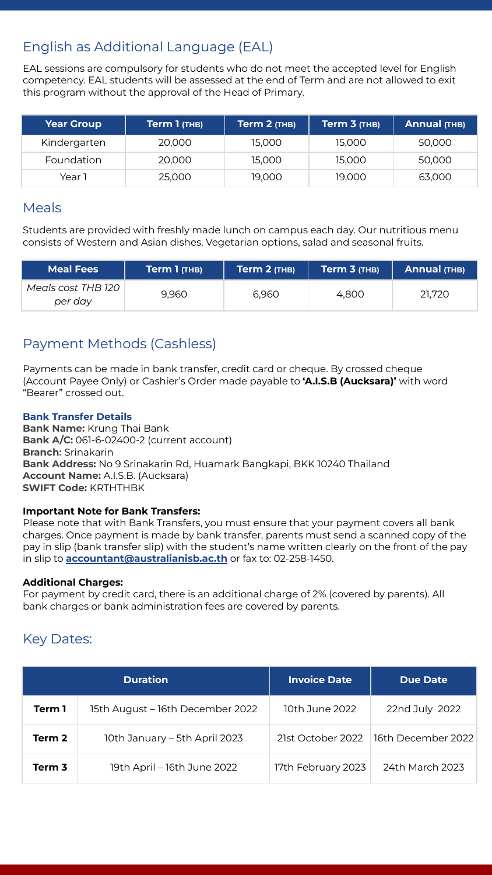# English as Additional Language (EAL)

EAL sessions are compulsory for students who do not meet the accepted level for English competency. EAL students will be assessed at the end of Term and are not allowed to exit this program without the approval of the Head of Primary.

| <b>Year Group</b> | Term 1 (THB) | Term 2 (THB) | Term 3 (THB) | Annual (THB) |
|-------------------|--------------|--------------|--------------|--------------|
| Kindergarten      | 20,000       | 15.000       | 15.000       | 50,000       |
| Foundation        | 20,000       | 15.000       | 15.000       | 50,000       |
| Year 1            | 25,000       | 19.000       | 19.000       | 63,000       |

## Meals

Students are provided with freshly made lunch on campus each day. Our nutritious menu consists of Western and Asian dishes, Vegetarian options, salad and seasonal fruits.

| <b>Meal Fees</b>              | Term 1 (THB) | $Term 2$ (THB) | $Term 3$ (THB) | Annual (THB) |
|-------------------------------|--------------|----------------|----------------|--------------|
| Meals cost THB 120<br>per day | 9.960        | 6.960          | 4.800          | 21.720       |

# Payment Methods (Cashless)

Payments can be made in bank transfer, credit card or cheque. By crossed cheque (Account Payee Only) or Cashier's Order made payable to **'A.I.S.B (Aucksara)'** with word "Bearer" crossed out.

## **Bank Transfer Details**

**Bank Name:** Krung Thai Bank **Bank A/C:** 061-6-02400-2 (current account) **Branch:** Srinakarin **Bank Address:** No 9 Srinakarin Rd, Huamark Bangkapi, BKK 10240 Thailand **Account Name:** A.I.S.B. (Aucksara) **SWIFT Code:** KRTHTHBK

### **Important Note for Bank Transfers:**

Please note that with Bank Transfers, you must ensure that your payment covers all bank charges. Once payment is made by bank transfer, parents must send a scanned copy of the pay in slip (bank transfer slip) with the student's name written clearly on the front of the pay in slip to **[accountant@australianisb.ac.th](mailto:accountant@australianisb.ac.th)** or fax to: 02-258-1450.

### **Additional Charges:**

For payment by credit card, there is an additional charge of 2% (covered by parents). All bank charges or bank administration fees are covered by parents.

# Key Dates:

| <b>Duration</b> |                                  | <b>Invoice Date</b> | <b>Due Date</b>    |
|-----------------|----------------------------------|---------------------|--------------------|
| Term 1          | 15th August - 16th December 2022 | 10th June 2022      | 22nd July 2022     |
| Term 2          | 10th January – 5th April 2023    | 21st October 2022   | 16th December 2022 |
| Term 3          | 19th April – 16th June 2022      | 17th February 2023  | 24th March 2023    |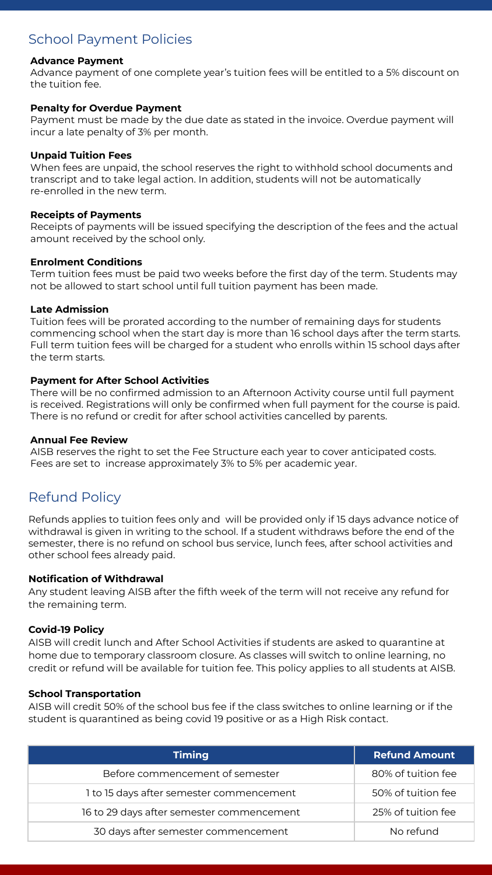# School Payment Policies

### **Advance Payment**

Advance payment of one complete year's tuition fees will be entitled to a 5% discount on the tuition fee.

### **Penalty for Overdue Payment**

Payment must be made by the due date as stated in the invoice. Overdue payment will incur a late penalty of 3% per month.

#### **Unpaid Tuition Fees**

When fees are unpaid, the school reserves the right to withhold school documents and transcript and to take legal action. In addition, students will not be automatically re-enrolled in the new term.

#### **Receipts of Payments**

Receipts of payments will be issued specifying the description of the fees and the actual amount received by the school only.

#### **Enrolment Conditions**

Term tuition fees must be paid two weeks before the first day of the term. Students may not be allowed to start school until full tuition payment has been made.

#### **Late Admission**

Tuition fees will be prorated according to the number of remaining days for students commencing school when the start day is more than 16 school days after the term starts. Full term tuition fees will be charged for a student who enrolls within 15 school days after the term starts.

### **Payment for After School Activities**

There will be no confirmed admission to an Afternoon Activity course until full payment is received. Registrations will only be confirmed when full payment for the course is paid. There is no refund or credit for after school activities cancelled by parents.

#### **Annual Fee Review**

AISB reserves the right to set the Fee Structure each year to cover anticipated costs. Fees are set to increase approximately 3% to 5% per academic year.

# Refund Policy

Refunds applies to tuition fees only and will be provided only if 15 days advance notice of withdrawal is given in writing to the school. If a student withdraws before the end of the semester, there is no refund on school bus service, lunch fees, after school activities and other school fees already paid.

### **Notification of Withdrawal**

Any student leaving AISB after the fifth week of the term will not receive any refund for the remaining term.

### **Covid-19 Policy**

AISB will credit lunch and After School Activities if students are asked to quarantine at home due to temporary classroom closure. As classes will switch to online learning, no credit or refund will be available for tuition fee. This policy applies to all students at AISB.

#### **School Transportation**

AISB will credit 50% of the school bus fee if the class switches to online learning or if the student is quarantined as being covid 19 positive or as a High Risk contact.

| <b>Timing</b>                             | <b>Refund Amount</b> |
|-------------------------------------------|----------------------|
| Before commencement of semester           | 80% of tuition fee   |
| 1 to 15 days after semester commencement  | 50% of tuition fee   |
| 16 to 29 days after semester commencement | 25% of tuition fee   |
| 30 days after semester commencement       | No refund            |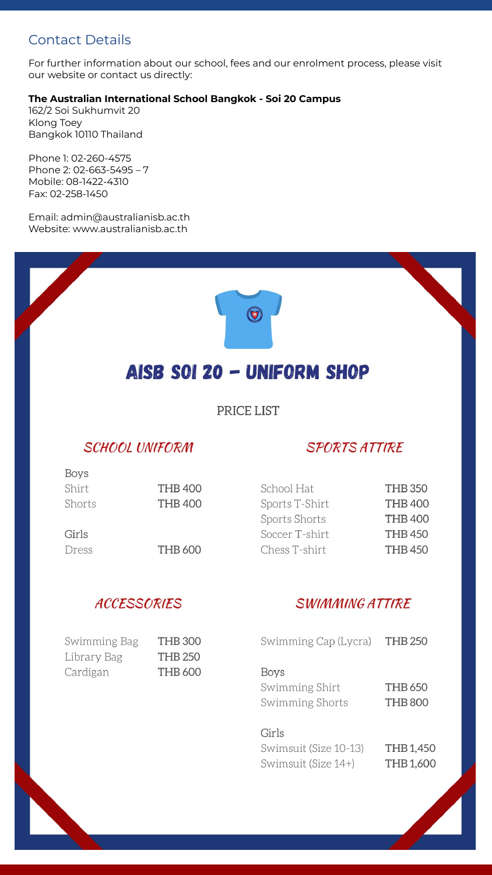# Contact Details

For further information about our school, fees and our enrolment process, please visit our website or contact us directly:

### **The Australian International School Bangkok - Soi 20 Campus**

162/2 Soi Sukhumvit 20 Klong Toey Bangkok 10110 Thailand

Phone 1: 02-260-4575 Phone 2: 02-663-5495 – 7 Mobile: 08-1422-4310 Fax: 02-258-1450

Email: admin@australianisb.ac.th Website: www.australianisb.ac.th



 $\bm{\Theta}$ 

PRICE LIST

# **SCHOOL UNIFORM**

# **SPORTS ATTIRE**

| Boys   |                |                |                |
|--------|----------------|----------------|----------------|
| Shirt  | <b>THB 400</b> | School Hat     | <b>THB 350</b> |
| Shorts | <b>THB 400</b> | Sports T-Shirt | <b>THB 400</b> |
|        |                | Sports Shorts  | <b>THB 400</b> |
| Girls  |                | Soccer T-shirt | <b>THB 450</b> |
| Dress  | <b>THB 600</b> | Chess T-shirt  | <b>THB 450</b> |
|        |                |                |                |

# **ACCESSORIES**

# **SWIMMING ATTIRE**

| Swimming Cap (Lycra)                             | <b>THB 250</b>            |
|--------------------------------------------------|---------------------------|
| <b>Boys</b><br>Swimming Shirt<br>Swimming Shorts | THB 650<br><b>THB 800</b> |
| Girls<br>Swimsuit (Size 10-13)                   | <b>THB 1.450</b>          |

Swimsuit (Size 14+)

| Swimming Bag | <b>THB300</b>  |
|--------------|----------------|
| Library Bag  | <b>THB 250</b> |
| Cardigan     | <b>THB 600</b> |

THB 1,450 THB 1,600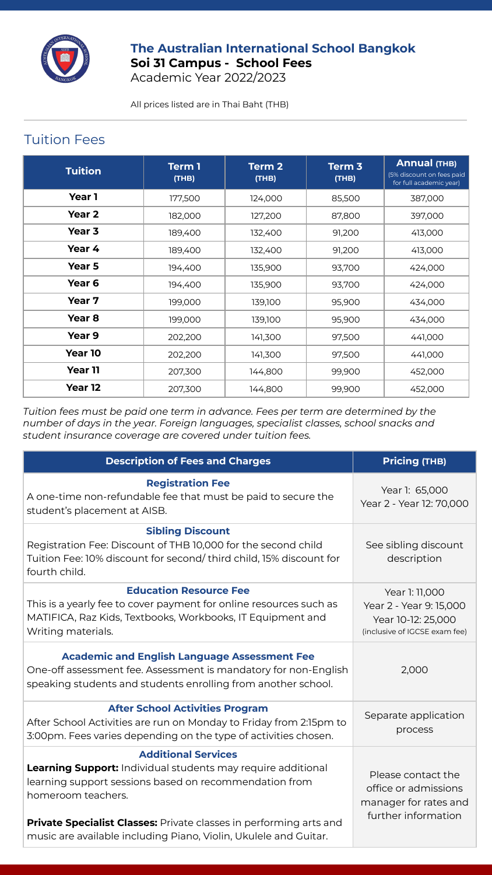

## **The Australian International School Bangkok Soi 31 Campus - School Fees**  Academic Year 2022/2023

All prices listed are in Thai Baht (THB)

# Tuition Fees

| <b>Tuition</b>    | Term 1<br>(THB) | Term <sub>2</sub><br>(THB) | Term <sub>3</sub><br>(THB) | <b>Annual (THB)</b><br>(5% discount on fees paid<br>for full academic year) |
|-------------------|-----------------|----------------------------|----------------------------|-----------------------------------------------------------------------------|
| Year 1            | 177,500         | 124,000                    | 85,500                     | 387,000                                                                     |
| Year 2            | 182,000         | 127,200                    | 87,800                     | 397,000                                                                     |
| Year 3            | 189,400         | 132,400                    | 91,200                     | 413,000                                                                     |
| Year 4            | 189,400         | 132,400                    | 91,200                     | 413,000                                                                     |
| Year 5            | 194,400         | 135,900                    | 93,700                     | 424,000                                                                     |
| Year <sub>6</sub> | 194,400         | 135,900                    | 93,700                     | 424,000                                                                     |
| Year 7            | 199,000         | 139,100                    | 95,900                     | 434,000                                                                     |
| Year 8            | 199,000         | 139,100                    | 95,900                     | 434,000                                                                     |
| Year 9            | 202,200         | 141,300                    | 97,500                     | 441,000                                                                     |
| Year 10           | 202,200         | 141,300                    | 97,500                     | 441,000                                                                     |
| Year 11           | 207,300         | 144,800                    | 99,900                     | 452,000                                                                     |
| Year 12           | 207,300         | 144,800                    | 99,900                     | 452,000                                                                     |

*Tuition fees must be paid one term in advance. Fees per term are determined by the number of days in the year. Foreign languages, specialist classes, school snacks and student insurance coverage are covered under tuition fees.*

| <b>Description of Fees and Charges</b>                                                                                                                                                                                                                                                                                             | <b>Pricing (THB)</b>                                                                             |
|------------------------------------------------------------------------------------------------------------------------------------------------------------------------------------------------------------------------------------------------------------------------------------------------------------------------------------|--------------------------------------------------------------------------------------------------|
| <b>Registration Fee</b><br>A one-time non-refundable fee that must be paid to secure the<br>student's placement at AISB.                                                                                                                                                                                                           | Year 1: 65,000<br>Year 2 - Year 12: 70,000                                                       |
| <b>Sibling Discount</b><br>Registration Fee: Discount of THB 10,000 for the second child<br>Tuition Fee: 10% discount for second/third child, 15% discount for<br>fourth child.                                                                                                                                                    | See sibling discount<br>description                                                              |
| <b>Education Resource Fee</b><br>This is a yearly fee to cover payment for online resources such as<br>MATIFICA, Raz Kids, Textbooks, Workbooks, IT Equipment and<br>Writing materials.                                                                                                                                            | Year 1: 11,000<br>Year 2 - Year 9: 15,000<br>Year 10-12: 25,000<br>(inclusive of IGCSE exam fee) |
| <b>Academic and English Language Assessment Fee</b><br>One-off assessment fee. Assessment is mandatory for non-English<br>speaking students and students enrolling from another school.                                                                                                                                            | 2,000                                                                                            |
| <b>After School Activities Program</b><br>After School Activities are run on Monday to Friday from 2:15pm to<br>3:00pm. Fees varies depending on the type of activities chosen.                                                                                                                                                    | Separate application<br>process                                                                  |
| <b>Additional Services</b><br><b>Learning Support:</b> Individual students may require additional<br>learning support sessions based on recommendation from<br>homeroom teachers.<br><b>Private Specialist Classes:</b> Private classes in performing arts and<br>music are available including Piano, Violin, Ukulele and Guitar. | Please contact the<br>office or admissions<br>manager for rates and<br>further information       |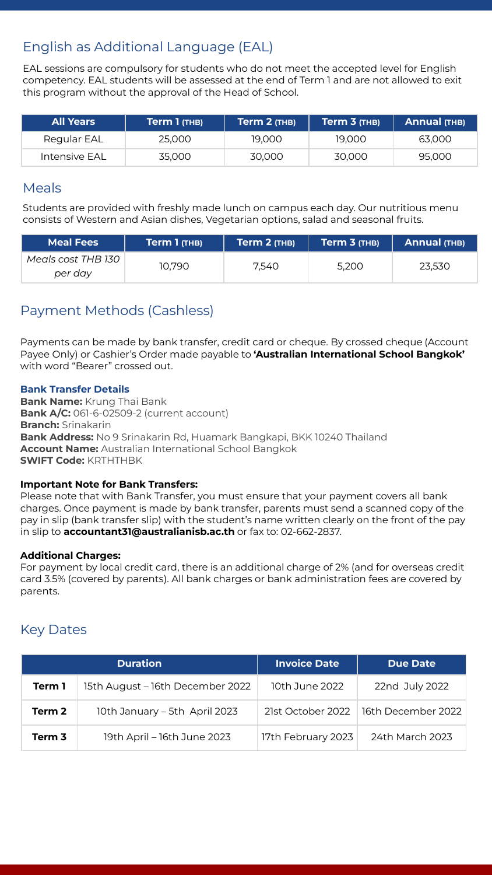# English as Additional Language (EAL)

EAL sessions are compulsory for students who do not meet the accepted level for English competency. EAL students will be assessed at the end of Term 1 and are not allowed to exit this program without the approval of the Head of School.

| <b>All Years</b> | $Term 1$ (THB) | Term 2 (THB) | Term $3$ (THB) | Annual (THB) |
|------------------|----------------|--------------|----------------|--------------|
| Reaular EAL      | 25.000         | 19.000       | 19.000         | 63.000       |
| Intensive EAL    | 35.000         | 30,000       | 30.000         | 95,000       |

## Meals

Students are provided with freshly made lunch on campus each day. Our nutritious menu consists of Western and Asian dishes, Vegetarian options, salad and seasonal fruits.

| <b>Meal Fees</b>              | Term 1 (THB) | Term 2 (THB) | Term 3 (THB) | Annual (THB) |
|-------------------------------|--------------|--------------|--------------|--------------|
| Meals cost THB 130<br>per day | 10.790       | 7.540        | 5.200        | 23.530       |

# Payment Methods (Cashless)

Payments can be made by bank transfer, credit card or cheque. By crossed cheque (Account Payee Only) or Cashier's Order made payable to **'Australian International School Bangkok'** with word "Bearer" crossed out.

## **Bank Transfer Details**

**Bank Name:** Krung Thai Bank **Bank A/C:** 061-6-02509-2 (current account) **Branch:** Srinakarin **Bank Address:** No 9 Srinakarin Rd, Huamark Bangkapi, BKK 10240 Thailand **Account Name:** Australian International School Bangkok **SWIFT Code:** KRTHTHBK

### **Important Note for Bank Transfers:**

Please note that with Bank Transfer, you must ensure that your payment covers all bank charges. Once payment is made by bank transfer, parents must send a scanned copy of the pay in slip (bank transfer slip) with the student's name written clearly on the front of the pay in slip to **accountant31@australianisb.ac.th** or fax to: 02-662-2837.

### **Additional Charges:**

For payment by local credit card, there is an additional charge of 2% (and for overseas credit card 3.5% (covered by parents). All bank charges or bank administration fees are covered by parents.

# Key Dates

|        | <b>Duration</b>                  | <b>Invoice Date</b> | <b>Due Date</b>    |
|--------|----------------------------------|---------------------|--------------------|
| Term 1 | 15th August – 16th December 2022 | 10th June 2022      | 22nd July 2022     |
| Term 2 | 10th January - 5th April 2023    | 21st October 2022   | 16th December 2022 |
| Term 3 | 19th April – 16th June 2023      | 17th February 2023  | 24th March 2023    |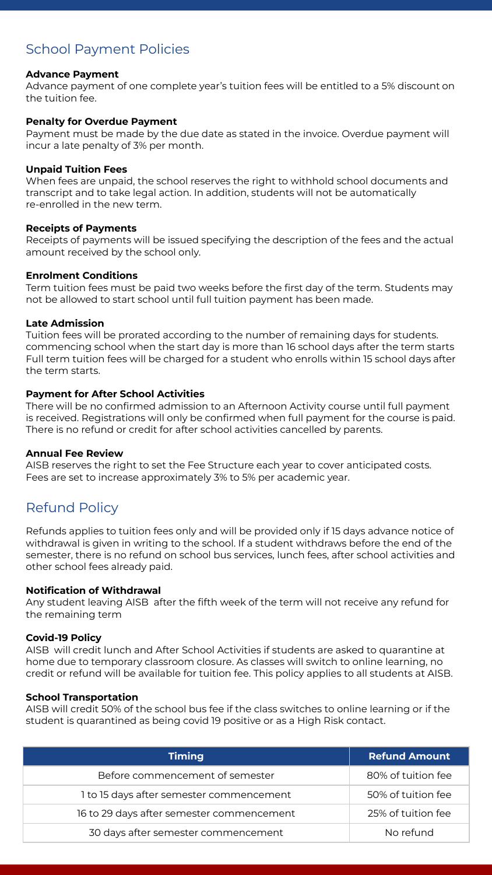# School Payment Policies

### **Advance Payment**

Advance payment of one complete year's tuition fees will be entitled to a 5% discount on the tuition fee.

### **Penalty for Overdue Payment**

Payment must be made by the due date as stated in the invoice. Overdue payment will incur a late penalty of 3% per month.

### **Unpaid Tuition Fees**

When fees are unpaid, the school reserves the right to withhold school documents and transcript and to take legal action. In addition, students will not be automatically re-enrolled in the new term.

### **Receipts of Payments**

Receipts of payments will be issued specifying the description of the fees and the actual amount received by the school only.

### **Enrolment Conditions**

Term tuition fees must be paid two weeks before the first day of the term. Students may not be allowed to start school until full tuition payment has been made.

### **Late Admission**

Tuition fees will be prorated according to the number of remaining days for students. commencing school when the start day is more than 16 school days after the term starts Full term tuition fees will be charged for a student who enrolls within 15 school days after the term starts.

### **Payment for After School Activities**

There will be no confirmed admission to an Afternoon Activity course until full payment is received. Registrations will only be confirmed when full payment for the course is paid. There is no refund or credit for after school activities cancelled by parents.

### **Annual Fee Review**

AISB reserves the right to set the Fee Structure each year to cover anticipated costs. Fees are set to increase approximately 3% to 5% per academic year.

# Refund Policy

Refunds applies to tuition fees only and will be provided only if 15 days advance notice of withdrawal is given in writing to the school. If a student withdraws before the end of the semester, there is no refund on school bus services, lunch fees, after school activities and other school fees already paid.

### **Notification of Withdrawal**

Any student leaving AISB after the fifth week of the term will not receive any refund for the remaining term

### **Covid-19 Policy**

AISB will credit lunch and After School Activities if students are asked to quarantine at home due to temporary classroom closure. As classes will switch to online learning, no credit or refund will be available for tuition fee. This policy applies to all students at AISB.

### **School Transportation**

AISB will credit 50% of the school bus fee if the class switches to online learning or if the student is quarantined as being covid 19 positive or as a High Risk contact.

| <b>Timing</b>                             | <b>Refund Amount</b> |
|-------------------------------------------|----------------------|
| Before commencement of semester           | 80% of tuition fee   |
| 1 to 15 days after semester commencement  | 50% of tuition fee   |
| 16 to 29 days after semester commencement | 25% of tuition fee   |
| 30 days after semester commencement       | No refund            |